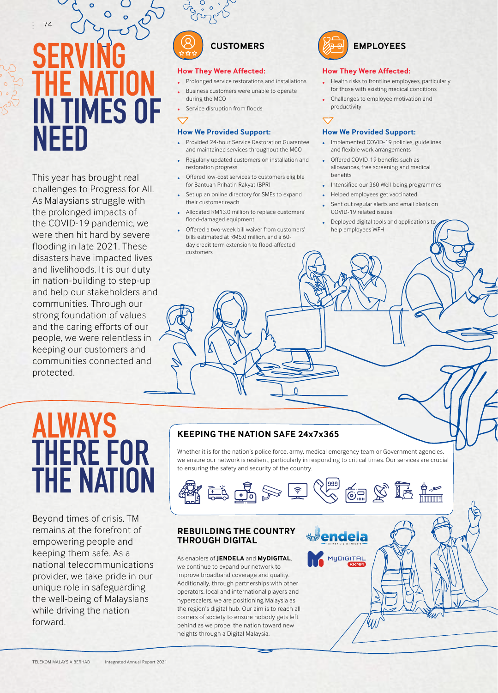74

# **SERVING THE NATION** IN TIMES OF NEED

This year has brought real challenges to Progress for All. As Malaysians struggle with the prolonged impacts of the COVID-19 pandemic, we were then hit hard by severe flooding in late 2021. These disasters have impacted lives and livelihoods. It is our duty in nation-building to step-up and help our stakeholders and communities. Through our strong foundation of values and the caring efforts of our people, we were relentless in keeping our customers and communities connected and protected.



### **How They Were Affected:**

- Prolonged service restorations and installations • Business customers were unable to operate during the MCO
- Service disruption from floods

### **How We Provided Support:**

- Provided 24-hour Service Restoration Guarantee and maintained services throughout the MCO
- Regularly updated customers on installation and restoration progress
- Offered low-cost services to customers eligible for Bantuan Prihatin Rakyat (BPR)
- Set up an online directory for SMEs to expand their customer reach
- Allocated RM13.0 million to replace customers' flood-damaged equipment
- Offered a two-week bill waiver from customers' bills estimated at RM5.0 million, and a 60 day credit term extension to flood-affected customers



### **How They Were Affected:**

- Health risks to frontline employees, particularly for those with existing medical conditions
- Challenges to employee motivation and productivity

#### **How We Provided Support:**

- Implemented COVID-19 policies, guidelines and flexible work arrangements
- Offered COVID-19 benefits such as allowances, free screening and medical benefits
- Intensified our 360 Well-being programmes
- Helped employees get vaccinated
- Sent out regular alerts and email blasts on COVID-19 related issues
- Deployed digital tools and applications to help employees WFH

# ALWAYS THERE FOR THE NATION

Beyond times of crisis, TM remains at the forefront of empowering people and keeping them safe. As a national telecommunications provider, we take pride in our unique role in safeguarding the well-being of Malaysians while driving the nation forward.

# **KEEPING THE NATION SAFE 24x7x365**

Whether it is for the nation's police force, army, medical emergency team or Government agencies, we ensure our network is resilient, particularly in responding to critical times. Our services are crucial to ensuring the safety and security of the country.

 $\Omega$ 



endela

MyDIGITAL

# **REBUILDING THE COUNTRY THROUGH DIGITAL**

As enablers of **JENDELA** and **MyDIGITAL**, we continue to expand our network to improve broadband coverage and quality. Additionally, through partnerships with other operators, local and international players and hyperscalers, we are positioning Malaysia as the region's digital hub. Our aim is to reach all corners of society to ensure nobody gets left behind as we propel the nation toward new heights through a Digital Malaysia.